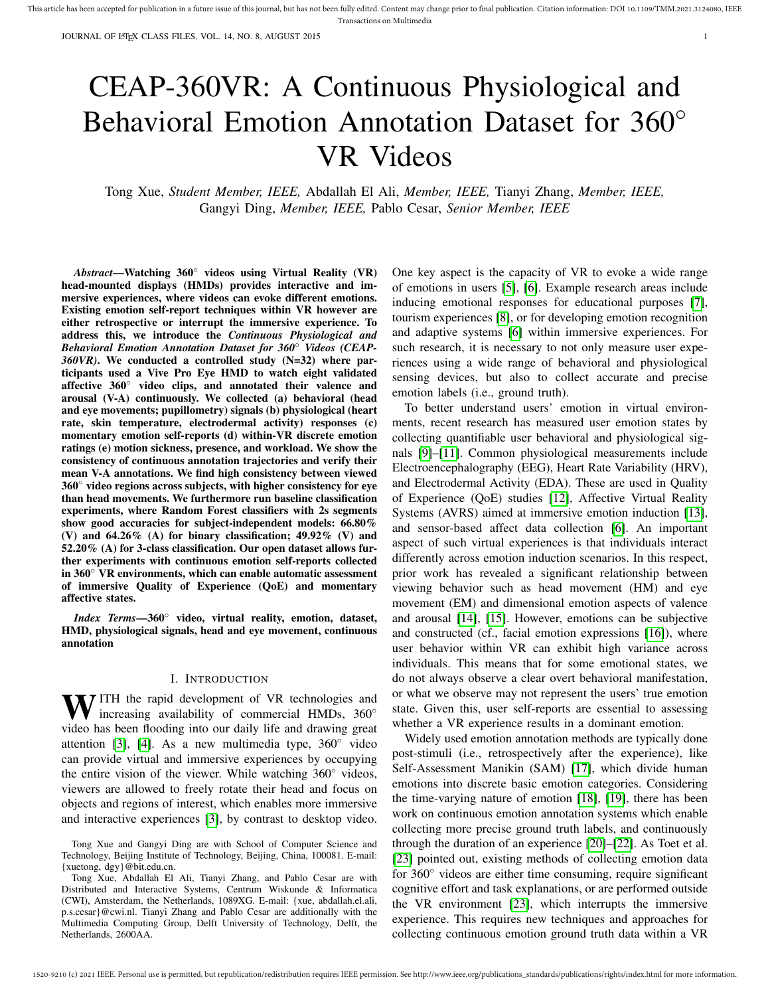JOURNAL OF LATEX CLASS FILES, VOL. 14, NO. 8, AUGUST 2015 1

# CEAP-360VR: A Continuous Physiological and Behavioral Emotion Annotation Dataset for 360◦ VR Videos

Tong Xue, *Student Member, IEEE,* Abdallah El Ali, *Member, IEEE,* Tianyi Zhang, *Member, IEEE,* Gangyi Ding, *Member, IEEE,* Pablo Cesar, *Senior Member, IEEE*

*Abstract*—Watching 360◦ videos using Virtual Reality (VR) head-mounted displays (HMDs) provides interactive and immersive experiences, where videos can evoke different emotions. Existing emotion self-report techniques within VR however are either retrospective or interrupt the immersive experience. To address this, we introduce the *Continuous Physiological and Behavioral Emotion Annotation Dataset for 360*◦ *Videos (CEAP-360VR)*. We conducted a controlled study (N=32) where participants used a Vive Pro Eye HMD to watch eight validated affective 360◦ video clips, and annotated their valence and arousal (V-A) continuously. We collected (a) behavioral (head and eye movements; pupillometry) signals (b) physiological (heart rate, skin temperature, electrodermal activity) responses (c) momentary emotion self-reports (d) within-VR discrete emotion ratings (e) motion sickness, presence, and workload. We show the consistency of continuous annotation trajectories and verify their mean V-A annotations. We find high consistency between viewed 360◦ video regions across subjects, with higher consistency for eye than head movements. We furthermore run baseline classification experiments, where Random Forest classifiers with 2s segments show good accuracies for subject-independent models: 66.80% (V) and 64.26% (A) for binary classification; 49.92% (V) and 52.20% (A) for 3-class classification. Our open dataset allows further experiments with continuous emotion self-reports collected in 360◦ VR environments, which can enable automatic assessment of immersive Quality of Experience (QoE) and momentary affective states.

*Index Terms*—360◦ video, virtual reality, emotion, dataset, HMD, physiological signals, head and eye movement, continuous annotation

# I. INTRODUCTION

WITH the rapid development of VR technologies and increasing availability of commercial HMDs, 360° video has been flooding into our daily life and drawing great attention [3], [4]. As a new multimedia type,  $360^\circ$  video can provide virtual and immersive experiences by occupying the entire vision of the viewer. While watching 360◦ videos, viewers are allowed to freely rotate their head and focus on objects and regions of interest, which enables more immersive and interactive experiences [3], by contrast to desktop video.

Tong Xue, Abdallah El Ali, Tianyi Zhang, and Pablo Cesar are with Distributed and Interactive Systems, Centrum Wiskunde & Informatica (CWI), Amsterdam, the Netherlands, 1089XG. E-mail: {xue, abdallah.el.ali, p.s.cesar}@cwi.nl. Tianyi Zhang and Pablo Cesar are additionally with the Multimedia Computing Group, Delft University of Technology, Delft, the Netherlands, 2600AA.

One key aspect is the capacity of VR to evoke a wide range of emotions in users [5], [6]. Example research areas include inducing emotional responses for educational purposes [7], tourism experiences [8], or for developing emotion recognition and adaptive systems [6] within immersive experiences. For such research, it is necessary to not only measure user experiences using a wide range of behavioral and physiological sensing devices, but also to collect accurate and precise emotion labels (i.e., ground truth).

To better understand users' emotion in virtual environments, recent research has measured user emotion states by collecting quantifiable user behavioral and physiological signals [9]–[11]. Common physiological measurements include Electroencephalography (EEG), Heart Rate Variability (HRV), and Electrodermal Activity (EDA). These are used in Quality of Experience (QoE) studies [12], Affective Virtual Reality Systems (AVRS) aimed at immersive emotion induction [13], and sensor-based affect data collection [6]. An important aspect of such virtual experiences is that individuals interact differently across emotion induction scenarios. In this respect, prior work has revealed a significant relationship between viewing behavior such as head movement (HM) and eye movement (EM) and dimensional emotion aspects of valence and arousal [14], [15]. However, emotions can be subjective and constructed (cf., facial emotion expressions [16]), where user behavior within VR can exhibit high variance across individuals. This means that for some emotional states, we do not always observe a clear overt behavioral manifestation, or what we observe may not represent the users' true emotion state. Given this, user self-reports are essential to assessing whether a VR experience results in a dominant emotion.

Widely used emotion annotation methods are typically done post-stimuli (i.e., retrospectively after the experience), like Self-Assessment Manikin (SAM) [17], which divide human emotions into discrete basic emotion categories. Considering the time-varying nature of emotion [18], [19], there has been work on continuous emotion annotation systems which enable collecting more precise ground truth labels, and continuously through the duration of an experience [20]–[22]. As Toet et al. [23] pointed out, existing methods of collecting emotion data for 360◦ videos are either time consuming, require significant cognitive effort and task explanations, or are performed outside the VR environment [23], which interrupts the immersive experience. This requires new techniques and approaches for collecting continuous emotion ground truth data within a VR

Tong Xue and Gangyi Ding are with School of Computer Science and Technology, Beijing Institute of Technology, Beijing, China, 100081. E-mail: {xuetong, dgy}@bit.edu.cn.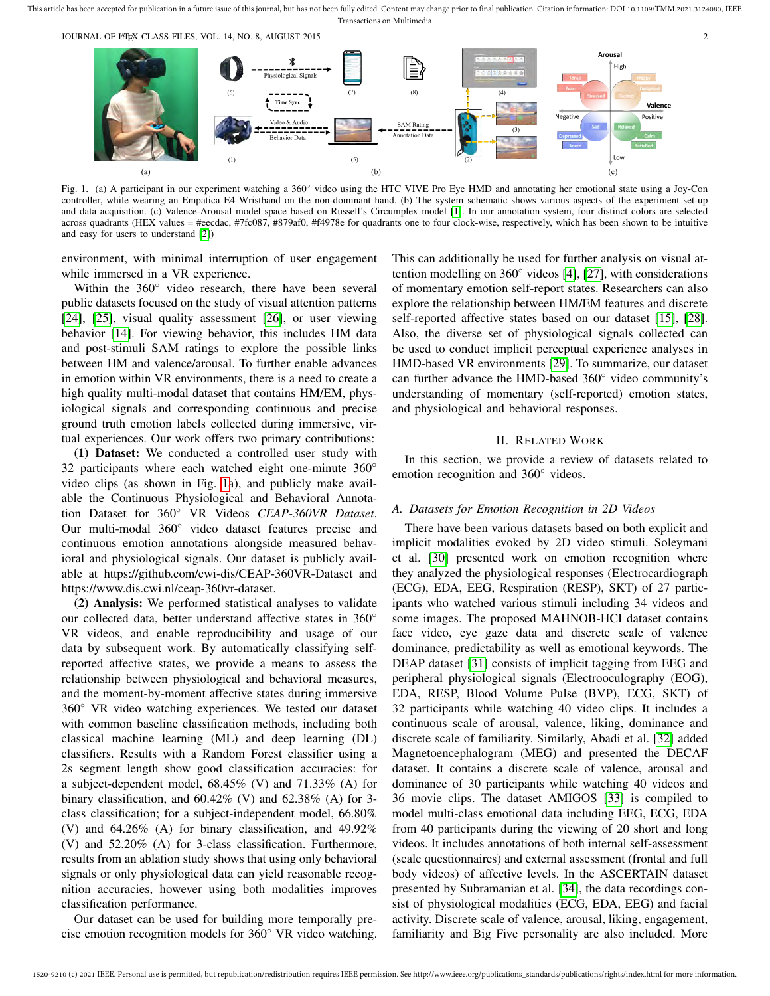JOURNAL OF LATEX CLASS FILES, VOL. 14, NO. 8, AUGUST 2015 2015



Fig. 1. (a) A participant in our experiment watching a 360◦ video using the HTC VIVE Pro Eye HMD and annotating her emotional state using a Joy-Con controller, while wearing an Empatica E4 Wristband on the non-dominant hand. (b) The system schematic shows various aspects of the experiment set-up and data acquisition. (c) Valence-Arousal model space based on Russell's Circumplex model [1]. In our annotation system, four distinct colors are selected across quadrants (HEX values = #eecdac, #7fc087, #879af0, #f4978e for quadrants one to four clock-wise, respectively, which has been shown to be intuitive and easy for users to understand [2])

environment, with minimal interruption of user engagement while immersed in a VR experience.

Within the 360° video research, there have been several public datasets focused on the study of visual attention patterns [24], [25], visual quality assessment [26], or user viewing behavior [14]. For viewing behavior, this includes HM data and post-stimuli SAM ratings to explore the possible links between HM and valence/arousal. To further enable advances in emotion within VR environments, there is a need to create a high quality multi-modal dataset that contains HM/EM, physiological signals and corresponding continuous and precise ground truth emotion labels collected during immersive, virtual experiences. Our work offers two primary contributions:

(1) Dataset: We conducted a controlled user study with 32 participants where each watched eight one-minute 360° video clips (as shown in Fig. 1a), and publicly make available the Continuous Physiological and Behavioral Annotation Dataset for 360◦ VR Videos *CEAP-360VR Dataset*. Our multi-modal 360◦ video dataset features precise and continuous emotion annotations alongside measured behavioral and physiological signals. Our dataset is publicly available at https://github.com/cwi-dis/CEAP-360VR-Dataset and https://www.dis.cwi.nl/ceap-360vr-dataset.

(2) Analysis: We performed statistical analyses to validate our collected data, better understand affective states in 360◦ VR videos, and enable reproducibility and usage of our data by subsequent work. By automatically classifying selfreported affective states, we provide a means to assess the relationship between physiological and behavioral measures, and the moment-by-moment affective states during immersive 360◦ VR video watching experiences. We tested our dataset with common baseline classification methods, including both classical machine learning (ML) and deep learning (DL) classifiers. Results with a Random Forest classifier using a 2s segment length show good classification accuracies: for a subject-dependent model, 68.45% (V) and 71.33% (A) for binary classification, and  $60.42\%$  (V) and  $62.38\%$  (A) for 3class classification; for a subject-independent model, 66.80% (V) and 64.26% (A) for binary classification, and 49.92% (V) and 52.20% (A) for 3-class classification. Furthermore, results from an ablation study shows that using only behavioral signals or only physiological data can yield reasonable recognition accuracies, however using both modalities improves classification performance.

Our dataset can be used for building more temporally precise emotion recognition models for 360◦ VR video watching. This can additionally be used for further analysis on visual attention modelling on  $360°$  videos [4], [27], with considerations of momentary emotion self-report states. Researchers can also explore the relationship between HM/EM features and discrete self-reported affective states based on our dataset [15], [28]. Also, the diverse set of physiological signals collected can be used to conduct implicit perceptual experience analyses in HMD-based VR environments [29]. To summarize, our dataset can further advance the HMD-based 360◦ video community's understanding of momentary (self-reported) emotion states, and physiological and behavioral responses.

#### II. RELATED WORK

In this section, we provide a review of datasets related to emotion recognition and 360<sup>°</sup> videos.

## *A. Datasets for Emotion Recognition in 2D Videos*

There have been various datasets based on both explicit and implicit modalities evoked by 2D video stimuli. Soleymani et al. [30] presented work on emotion recognition where they analyzed the physiological responses (Electrocardiograph (ECG), EDA, EEG, Respiration (RESP), SKT) of 27 participants who watched various stimuli including 34 videos and some images. The proposed MAHNOB-HCI dataset contains face video, eye gaze data and discrete scale of valence dominance, predictability as well as emotional keywords. The DEAP dataset [31] consists of implicit tagging from EEG and peripheral physiological signals (Electrooculography (EOG), EDA, RESP, Blood Volume Pulse (BVP), ECG, SKT) of 32 participants while watching 40 video clips. It includes a continuous scale of arousal, valence, liking, dominance and discrete scale of familiarity. Similarly, Abadi et al. [32] added Magnetoencephalogram (MEG) and presented the DECAF dataset. It contains a discrete scale of valence, arousal and dominance of 30 participants while watching 40 videos and 36 movie clips. The dataset AMIGOS [33] is compiled to model multi-class emotional data including EEG, ECG, EDA from 40 participants during the viewing of 20 short and long videos. It includes annotations of both internal self-assessment (scale questionnaires) and external assessment (frontal and full body videos) of affective levels. In the ASCERTAIN dataset presented by Subramanian et al. [34], the data recordings consist of physiological modalities (ECG, EDA, EEG) and facial activity. Discrete scale of valence, arousal, liking, engagement, familiarity and Big Five personality are also included. More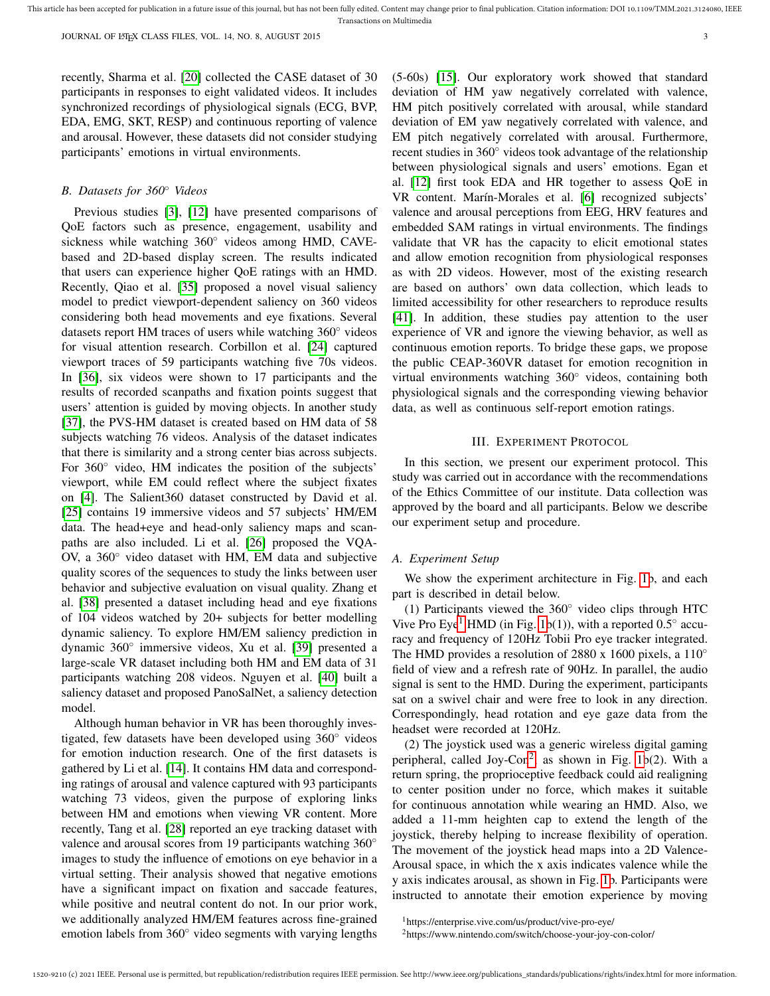recently, Sharma et al. [20] collected the CASE dataset of 30 participants in responses to eight validated videos. It includes synchronized recordings of physiological signals (ECG, BVP, EDA, EMG, SKT, RESP) and continuous reporting of valence and arousal. However, these datasets did not consider studying participants' emotions in virtual environments.

#### *B. Datasets for 360*◦ *Videos*

Previous studies [3], [12] have presented comparisons of QoE factors such as presence, engagement, usability and sickness while watching 360◦ videos among HMD, CAVEbased and 2D-based display screen. The results indicated that users can experience higher QoE ratings with an HMD. Recently, Qiao et al. [35] proposed a novel visual saliency model to predict viewport-dependent saliency on 360 videos considering both head movements and eye fixations. Several datasets report HM traces of users while watching 360◦ videos for visual attention research. Corbillon et al. [24] captured viewport traces of 59 participants watching five 70s videos. In [36], six videos were shown to 17 participants and the results of recorded scanpaths and fixation points suggest that users' attention is guided by moving objects. In another study [37], the PVS-HM dataset is created based on HM data of 58 subjects watching 76 videos. Analysis of the dataset indicates that there is similarity and a strong center bias across subjects. For 360<sup>°</sup> video, HM indicates the position of the subjects' viewport, while EM could reflect where the subject fixates on [4]. The Salient360 dataset constructed by David et al. [25] contains 19 immersive videos and 57 subjects' HM/EM data. The head+eye and head-only saliency maps and scanpaths are also included. Li et al. [26] proposed the VQA-OV, a 360◦ video dataset with HM, EM data and subjective quality scores of the sequences to study the links between user behavior and subjective evaluation on visual quality. Zhang et al. [38] presented a dataset including head and eye fixations of 104 videos watched by 20+ subjects for better modelling dynamic saliency. To explore HM/EM saliency prediction in dynamic 360◦ immersive videos, Xu et al. [39] presented a large-scale VR dataset including both HM and EM data of 31 participants watching 208 videos. Nguyen et al. [40] built a saliency dataset and proposed PanoSalNet, a saliency detection model.

Although human behavior in VR has been thoroughly investigated, few datasets have been developed using 360◦ videos for emotion induction research. One of the first datasets is gathered by Li et al. [14]. It contains HM data and corresponding ratings of arousal and valence captured with 93 participants watching 73 videos, given the purpose of exploring links between HM and emotions when viewing VR content. More recently, Tang et al. [28] reported an eye tracking dataset with valence and arousal scores from 19 participants watching 360° images to study the influence of emotions on eye behavior in a virtual setting. Their analysis showed that negative emotions have a significant impact on fixation and saccade features, while positive and neutral content do not. In our prior work, we additionally analyzed HM/EM features across fine-grained emotion labels from 360◦ video segments with varying lengths (5-60s) [15]. Our exploratory work showed that standard deviation of HM yaw negatively correlated with valence, HM pitch positively correlated with arousal, while standard deviation of EM yaw negatively correlated with valence, and EM pitch negatively correlated with arousal. Furthermore, recent studies in 360◦ videos took advantage of the relationship between physiological signals and users' emotions. Egan et al. [12] first took EDA and HR together to assess QoE in VR content. Marín-Morales et al. [6] recognized subjects' valence and arousal perceptions from EEG, HRV features and embedded SAM ratings in virtual environments. The findings validate that VR has the capacity to elicit emotional states and allow emotion recognition from physiological responses as with 2D videos. However, most of the existing research are based on authors' own data collection, which leads to limited accessibility for other researchers to reproduce results [41]. In addition, these studies pay attention to the user experience of VR and ignore the viewing behavior, as well as continuous emotion reports. To bridge these gaps, we propose the public CEAP-360VR dataset for emotion recognition in virtual environments watching 360◦ videos, containing both physiological signals and the corresponding viewing behavior data, as well as continuous self-report emotion ratings.

### III. EXPERIMENT PROTOCOL

In this section, we present our experiment protocol. This study was carried out in accordance with the recommendations of the Ethics Committee of our institute. Data collection was approved by the board and all participants. Below we describe our experiment setup and procedure.

### *A. Experiment Setup*

We show the experiment architecture in Fig. 1b, and each part is described in detail below.

(1) Participants viewed the 360◦ video clips through HTC Vive Pro Eye<sup>1</sup> HMD (in Fig. 1b(1)), with a reported  $0.5^\circ$  accuracy and frequency of 120Hz Tobii Pro eye tracker integrated. The HMD provides a resolution of 2880 x 1600 pixels, a 110<sup>°</sup> field of view and a refresh rate of 90Hz. In parallel, the audio signal is sent to the HMD. During the experiment, participants sat on a swivel chair and were free to look in any direction. Correspondingly, head rotation and eye gaze data from the headset were recorded at 120Hz.

(2) The joystick used was a generic wireless digital gaming peripheral, called Joy-Con<sup>2</sup>, as shown in Fig. 1b(2). With a return spring, the proprioceptive feedback could aid realigning to center position under no force, which makes it suitable for continuous annotation while wearing an HMD. Also, we added a 11-mm heighten cap to extend the length of the joystick, thereby helping to increase flexibility of operation. The movement of the joystick head maps into a 2D Valence-Arousal space, in which the x axis indicates valence while the y axis indicates arousal, as shown in Fig. 1b. Participants were instructed to annotate their emotion experience by moving

<sup>1</sup>https://enterprise.vive.com/us/product/vive-pro-eye/

<sup>2</sup>https://www.nintendo.com/switch/choose-your-joy-con-color/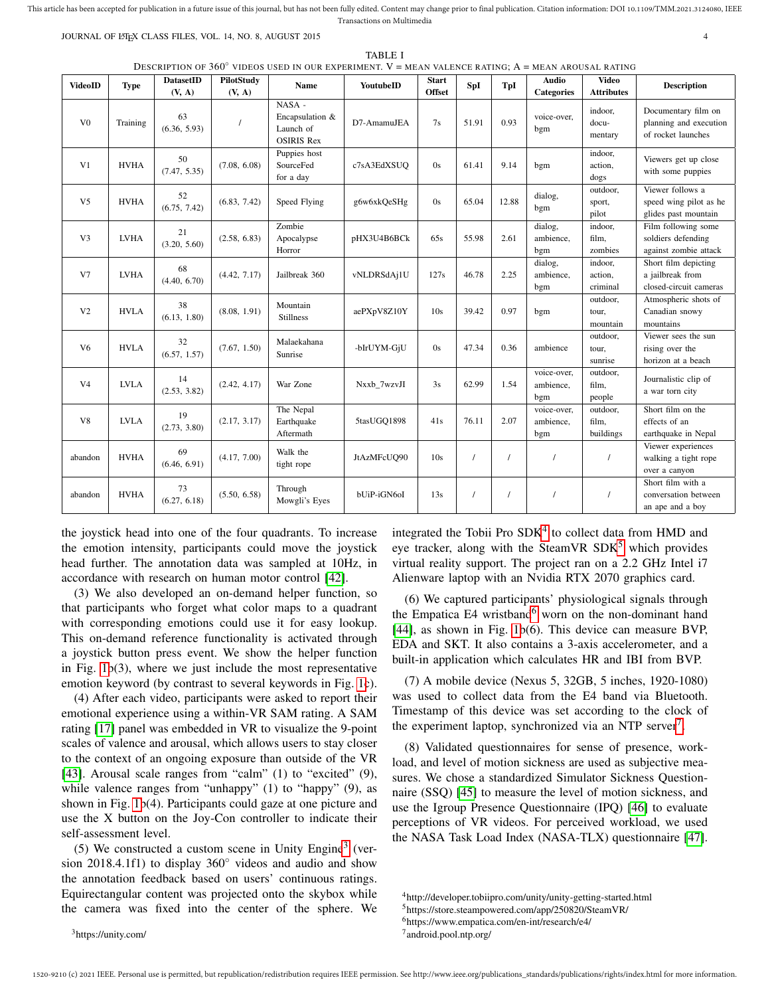JOURNAL OF LATEX CLASS FILES, VOL. 14, NO. 8, AUGUST 2015 4

TABLE I

DESCRIPTION OF 360◦ VIDEOS USED IN OUR EXPERIMENT. V = MEAN VALENCE RATING; A = MEAN AROUSAL RATING

| VIDEOS OSED IN OOK EALEKIMENT, $Y = M$ EAN VALENÇE KALINO, A<br>DatasetID<br>PilotStudy |             |                    |              |                                                             |             |                               |          |          | $=$ MEAN AROUSAL RAILING        |                                   |                                                                     |
|-----------------------------------------------------------------------------------------|-------------|--------------------|--------------|-------------------------------------------------------------|-------------|-------------------------------|----------|----------|---------------------------------|-----------------------------------|---------------------------------------------------------------------|
| <b>VideoID</b>                                                                          | <b>Type</b> |                    |              | <b>Name</b>                                                 | YoutubeID   | <b>Start</b><br><b>Offset</b> | SpI      | TpI      | <b>Audio</b>                    | <b>Video</b><br><b>Attributes</b> | <b>Description</b>                                                  |
|                                                                                         |             | (V, A)             | (V, A)       |                                                             |             |                               |          |          | <b>Categories</b>               |                                   |                                                                     |
| V <sub>0</sub>                                                                          | Training    | 63<br>(6.36, 5.93) |              | NASA -<br>Encapsulation &<br>Launch of<br><b>OSIRIS Rex</b> | D7-AmamuJEA | 7s                            | 51.91    | 0.93     | voice-over,<br>bgm              | indoor,<br>docu-<br>mentary       | Documentary film on<br>planning and execution<br>of rocket launches |
| V <sub>1</sub>                                                                          | <b>HVHA</b> | 50<br>(7.47, 5.35) | (7.08, 6.08) | Puppies host<br>SourceFed<br>for a day                      | c7sA3EdXSUQ | 0s                            | 61.41    | 9.14     | bgm                             | indoor,<br>action,<br>dogs        | Viewers get up close<br>with some puppies                           |
| V <sub>5</sub>                                                                          | <b>HVHA</b> | 52<br>(6.75, 7.42) | (6.83, 7.42) | Speed Flying                                                | g6w6xkOeSHg | 0s                            | 65.04    | 12.88    | dialog,<br>bgm                  | outdoor,<br>sport,<br>pilot       | Viewer follows a<br>speed wing pilot as he<br>glides past mountain  |
| V <sub>3</sub>                                                                          | <b>LVHA</b> | 21<br>(3.20, 5.60) | (2.58, 6.83) | Zombie<br>Apocalypse<br>Horror                              | pHX3U4B6BCk | 65s                           | 55.98    | 2.61     | dialog,<br>ambience.<br>bgm     | indoor,<br>film.<br>zombies       | Film following some<br>soldiers defending<br>against zombie attack  |
| V7                                                                                      | <b>LVHA</b> | 68<br>(4.40, 6.70) | (4.42, 7.17) | Jailbreak 360                                               | vNLDRSdAj1U | 127s                          | 46.78    | 2.25     | dialog,<br>ambience,<br>bgm     | indoor,<br>action,<br>criminal    | Short film depicting<br>a jailbreak from<br>closed-circuit cameras  |
| V <sub>2</sub>                                                                          | <b>HVLA</b> | 38<br>(6.13, 1.80) | (8.08, 1.91) | Mountain<br><b>Stillness</b>                                | aePXpV8Z10Y | 10s                           | 39.42    | 0.97     | bgm                             | outdoor,<br>tour,<br>mountain     | Atmospheric shots of<br>Canadian snowy<br>mountains                 |
| V <sub>6</sub>                                                                          | <b>HVLA</b> | 32<br>(6.57, 1.57) | (7.67, 1.50) | Malaekahana<br>Sunrise                                      | -bIrUYM-GjU | 0s                            | 47.34    | 0.36     | ambience                        | outdoor,<br>tour,<br>sunrise      | Viewer sees the sun<br>rising over the<br>horizon at a beach        |
| V <sub>4</sub>                                                                          | <b>LVLA</b> | 14<br>(2.53, 3.82) | (2.42, 4.17) | War Zone                                                    | Nxxb 7wzvJI | 3s                            | 62.99    | 1.54     | voice-over.<br>ambience,<br>bgm | outdoor,<br>film,<br>people       | Journalistic clip of<br>a war torn city                             |
| V8                                                                                      | <b>LVLA</b> | 19<br>(2.73, 3.80) | (2.17, 3.17) | The Nepal<br>Earthquake<br>Aftermath                        | 5tasUGQ1898 | 41s                           | 76.11    | 2.07     | voice-over,<br>ambience,<br>bgm | outdoor,<br>film,<br>buildings    | Short film on the<br>effects of an<br>earthquake in Nepal           |
| abandon                                                                                 | <b>HVHA</b> | 69<br>(6.46, 6.91) | (4.17, 7.00) | Walk the<br>tight rope                                      | JtAzMFcUQ90 | 10s                           | $\prime$ | $\prime$ | $\prime$                        | $\prime$                          | Viewer experiences<br>walking a tight rope<br>over a canyon         |
| abandon                                                                                 | <b>HVHA</b> | 73<br>(6.27, 6.18) | (5.50, 6.58) | Through<br>Mowgli's Eyes                                    | bUiP-iGN6oI | 13s                           |          | $\prime$ |                                 |                                   | Short film with a<br>conversation between<br>an ape and a boy       |

the joystick head into one of the four quadrants. To increase the emotion intensity, participants could move the joystick head further. The annotation data was sampled at 10Hz, in accordance with research on human motor control [42].

(3) We also developed an on-demand helper function, so that participants who forget what color maps to a quadrant with corresponding emotions could use it for easy lookup. This on-demand reference functionality is activated through a joystick button press event. We show the helper function in Fig. 1b(3), where we just include the most representative emotion keyword (by contrast to several keywords in Fig. 1c).

(4) After each video, participants were asked to report their emotional experience using a within-VR SAM rating. A SAM rating [17] panel was embedded in VR to visualize the 9-point scales of valence and arousal, which allows users to stay closer to the context of an ongoing exposure than outside of the VR [43]. Arousal scale ranges from "calm" (1) to "excited" (9), while valence ranges from "unhappy" (1) to "happy" (9), as shown in Fig. 1b(4). Participants could gaze at one picture and use the X button on the Joy-Con controller to indicate their self-assessment level.

(5) We constructed a custom scene in Unity Engine<sup>3</sup> (version 2018.4.1f1) to display 360◦ videos and audio and show the annotation feedback based on users' continuous ratings. Equirectangular content was projected onto the skybox while the camera was fixed into the center of the sphere. We

integrated the Tobii Pro SDK<sup>4</sup> to collect data from HMD and eye tracker, along with the SteamVR  $SDK<sup>5</sup>$  which provides virtual reality support. The project ran on a 2.2 GHz Intel i7 Alienware laptop with an Nvidia RTX 2070 graphics card.

(6) We captured participants' physiological signals through the Empatica E4 wristband $6$  worn on the non-dominant hand [44], as shown in Fig. 1b(6). This device can measure BVP, EDA and SKT. It also contains a 3-axis accelerometer, and a built-in application which calculates HR and IBI from BVP.

(7) A mobile device (Nexus 5, 32GB, 5 inches, 1920-1080) was used to collect data from the E4 band via Bluetooth. Timestamp of this device was set according to the clock of the experiment laptop, synchronized via an NTP server<sup>7</sup>.

(8) Validated questionnaires for sense of presence, workload, and level of motion sickness are used as subjective measures. We chose a standardized Simulator Sickness Questionnaire (SSQ) [45] to measure the level of motion sickness, and use the Igroup Presence Questionnaire (IPQ) [46] to evaluate perceptions of VR videos. For perceived workload, we used the NASA Task Load Index (NASA-TLX) questionnaire [47].

1520-9210 (c) 2021 IEEE. Personal use is permitted, but republication/redistribution requires IEEE permission. See http://www.ieee.org/publications\_standards/publications/rights/index.html for more information.

<sup>4</sup>http://developer.tobiipro.com/unity/unity-getting-started.html

<sup>5</sup>https://store.steampowered.com/app/250820/SteamVR/

<sup>6</sup>https://www.empatica.com/en-int/research/e4/

<sup>7</sup> android.pool.ntp.org/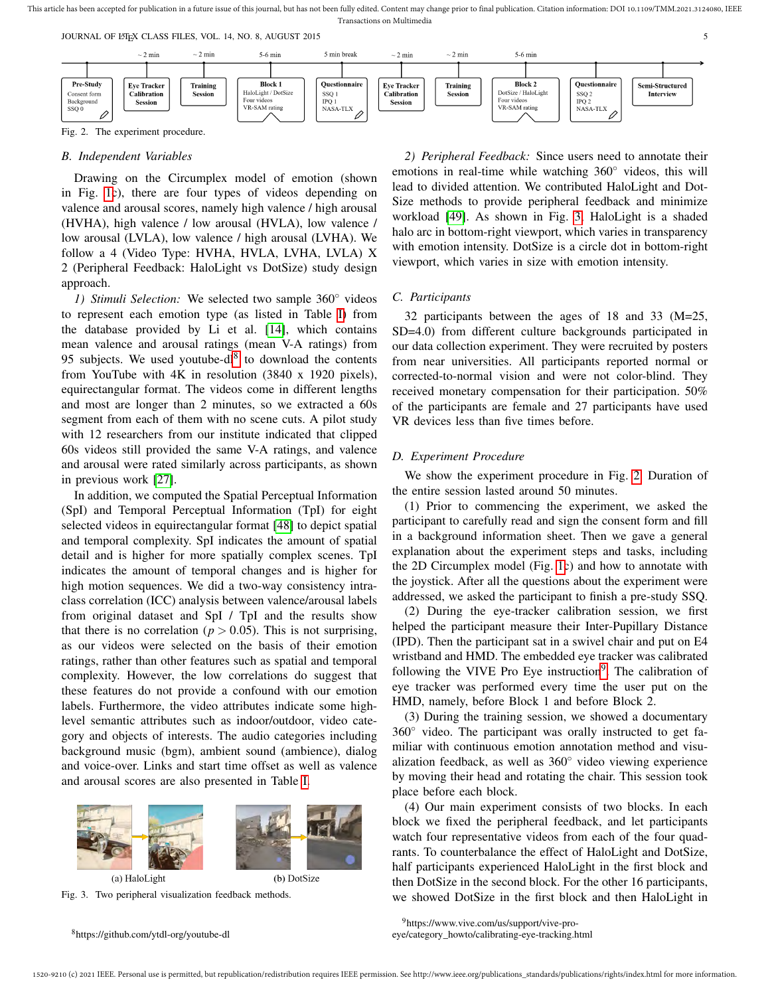JOURNAL OF LATEX CLASS FILES, VOL. 14, NO. 8, AUGUST 2015 55 SALUST 101 STEVEN ASSEMBLED FOR STEVEN ASSEMBLED TO A STEVEN ASSEMBLED FOR STEVEN ASSEMBLED FOR STEVEN ASSEMBLED FOR STEVEN ASSEMBLED FOR STEVEN ASSEMBLED FOR ST



Fig. 2. The experiment procedure.

### *B. Independent Variables*

Drawing on the Circumplex model of emotion (shown in Fig. 1c), there are four types of videos depending on valence and arousal scores, namely high valence / high arousal (HVHA), high valence / low arousal (HVLA), low valence / low arousal (LVLA), low valence / high arousal (LVHA). We follow a 4 (Video Type: HVHA, HVLA, LVHA, LVLA) X 2 (Peripheral Feedback: HaloLight vs DotSize) study design approach.

*1) Stimuli Selection:* We selected two sample 360◦ videos to represent each emotion type (as listed in Table I) from the database provided by Li et al. [14], which contains mean valence and arousal ratings (mean V-A ratings) from 95 subjects. We used youtube-dl $8$  to download the contents from YouTube with 4K in resolution (3840 x 1920 pixels), equirectangular format. The videos come in different lengths and most are longer than 2 minutes, so we extracted a 60s segment from each of them with no scene cuts. A pilot study with 12 researchers from our institute indicated that clipped 60s videos still provided the same V-A ratings, and valence and arousal were rated similarly across participants, as shown in previous work [27].

In addition, we computed the Spatial Perceptual Information (SpI) and Temporal Perceptual Information (TpI) for eight selected videos in equirectangular format [48] to depict spatial and temporal complexity. SpI indicates the amount of spatial detail and is higher for more spatially complex scenes. TpI indicates the amount of temporal changes and is higher for high motion sequences. We did a two-way consistency intraclass correlation (ICC) analysis between valence/arousal labels from original dataset and SpI / TpI and the results show that there is no correlation ( $p > 0.05$ ). This is not surprising, as our videos were selected on the basis of their emotion ratings, rather than other features such as spatial and temporal complexity. However, the low correlations do suggest that these features do not provide a confound with our emotion labels. Furthermore, the video attributes indicate some highlevel semantic attributes such as indoor/outdoor, video category and objects of interests. The audio categories including background music (bgm), ambient sound (ambience), dialog and voice-over. Links and start time offset as well as valence and arousal scores are also presented in Table I.





<sup>8</sup>https://github.com/ytdl-org/youtube-dl

*2) Peripheral Feedback:* Since users need to annotate their emotions in real-time while watching 360◦ videos, this will lead to divided attention. We contributed HaloLight and Dot-Size methods to provide peripheral feedback and minimize workload [49]. As shown in Fig. 3, HaloLight is a shaded halo arc in bottom-right viewport, which varies in transparency with emotion intensity. DotSize is a circle dot in bottom-right viewport, which varies in size with emotion intensity.

#### *C. Participants*

32 participants between the ages of 18 and 33 (M=25, SD=4.0) from different culture backgrounds participated in our data collection experiment. They were recruited by posters from near universities. All participants reported normal or corrected-to-normal vision and were not color-blind. They received monetary compensation for their participation. 50% of the participants are female and 27 participants have used VR devices less than five times before.

## *D. Experiment Procedure*

We show the experiment procedure in Fig. 2. Duration of the entire session lasted around 50 minutes.

(1) Prior to commencing the experiment, we asked the participant to carefully read and sign the consent form and fill in a background information sheet. Then we gave a general explanation about the experiment steps and tasks, including the 2D Circumplex model (Fig. 1c) and how to annotate with the joystick. After all the questions about the experiment were addressed, we asked the participant to finish a pre-study SSQ.

(2) During the eye-tracker calibration session, we first helped the participant measure their Inter-Pupillary Distance (IPD). Then the participant sat in a swivel chair and put on E4 wristband and HMD. The embedded eye tracker was calibrated following the VIVE Pro Eye instruction<sup>9</sup>. The calibration of eye tracker was performed every time the user put on the HMD, namely, before Block 1 and before Block 2.

(3) During the training session, we showed a documentary 360◦ video. The participant was orally instructed to get familiar with continuous emotion annotation method and visualization feedback, as well as 360◦ video viewing experience by moving their head and rotating the chair. This session took place before each block.

(4) Our main experiment consists of two blocks. In each block we fixed the peripheral feedback, and let participants watch four representative videos from each of the four quadrants. To counterbalance the effect of HaloLight and DotSize, half participants experienced HaloLight in the first block and then DotSize in the second block. For the other 16 participants, we showed DotSize in the first block and then HaloLight in

<sup>9</sup>https://www.vive.com/us/support/vive-pro-

eye/category\_howto/calibrating-eye-tracking.html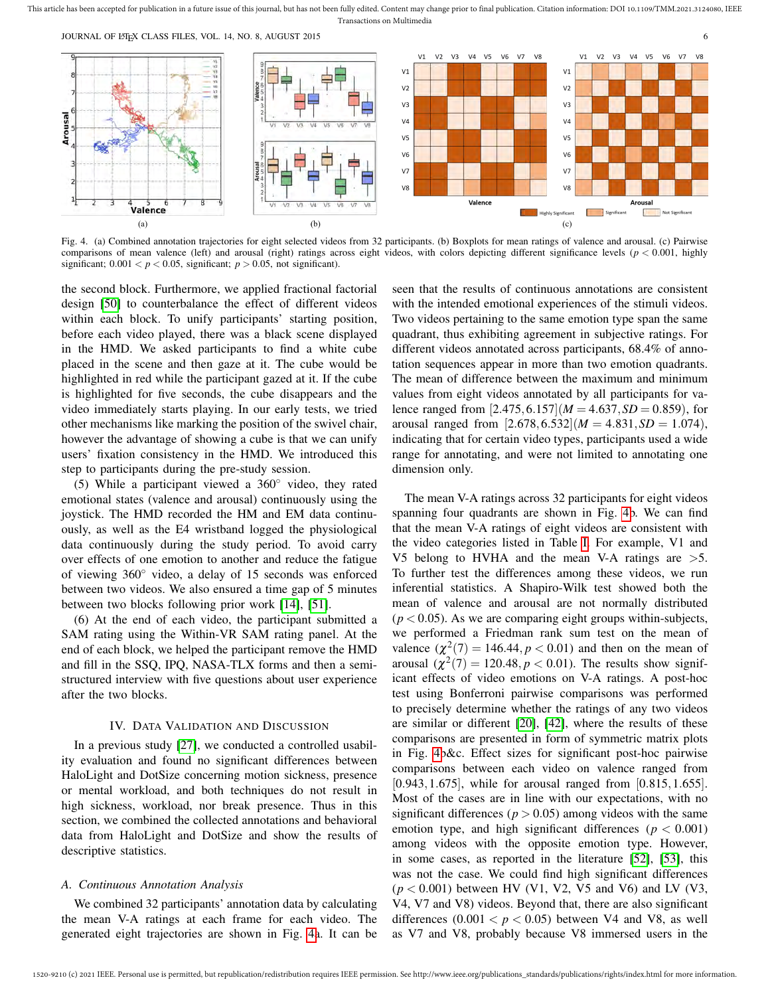JOURNAL OF LATEX CLASS FILES, VOL. 14, NO. 8, AUGUST 2015 66



Fig. 4. (a) Combined annotation trajectories for eight selected videos from 32 participants. (b) Boxplots for mean ratings of valence and arousal. (c) Pairwise comparisons of mean valence (left) and arousal (right) ratings across eight videos, with colors depicting different significance levels (*p* < 0.001, highly significant;  $0.001 < p < 0.05$ , significant;  $p > 0.05$ , not significant).

the second block. Furthermore, we applied fractional factorial design [50] to counterbalance the effect of different videos within each block. To unify participants' starting position, before each video played, there was a black scene displayed in the HMD. We asked participants to find a white cube placed in the scene and then gaze at it. The cube would be highlighted in red while the participant gazed at it. If the cube is highlighted for five seconds, the cube disappears and the video immediately starts playing. In our early tests, we tried other mechanisms like marking the position of the swivel chair, however the advantage of showing a cube is that we can unify users' fixation consistency in the HMD. We introduced this step to participants during the pre-study session.

(5) While a participant viewed a 360◦ video, they rated emotional states (valence and arousal) continuously using the joystick. The HMD recorded the HM and EM data continuously, as well as the E4 wristband logged the physiological data continuously during the study period. To avoid carry over effects of one emotion to another and reduce the fatigue of viewing 360◦ video, a delay of 15 seconds was enforced between two videos. We also ensured a time gap of 5 minutes between two blocks following prior work [14], [51].

(6) At the end of each video, the participant submitted a SAM rating using the Within-VR SAM rating panel. At the end of each block, we helped the participant remove the HMD and fill in the SSQ, IPQ, NASA-TLX forms and then a semistructured interview with five questions about user experience after the two blocks.

#### IV. DATA VALIDATION AND DISCUSSION

In a previous study [27], we conducted a controlled usability evaluation and found no significant differences between HaloLight and DotSize concerning motion sickness, presence or mental workload, and both techniques do not result in high sickness, workload, nor break presence. Thus in this section, we combined the collected annotations and behavioral data from HaloLight and DotSize and show the results of descriptive statistics.

## *A. Continuous Annotation Analysis*

We combined 32 participants' annotation data by calculating the mean V-A ratings at each frame for each video. The generated eight trajectories are shown in Fig. 4a. It can be seen that the results of continuous annotations are consistent with the intended emotional experiences of the stimuli videos. Two videos pertaining to the same emotion type span the same quadrant, thus exhibiting agreement in subjective ratings. For different videos annotated across participants, 68.4% of annotation sequences appear in more than two emotion quadrants. The mean of difference between the maximum and minimum values from eight videos annotated by all participants for valence ranged from  $[2.475, 6.157]$   $(M = 4.637, SD = 0.859)$ , for arousal ranged from  $[2.678, 6.532]$   $(M = 4.831, SD = 1.074)$ , indicating that for certain video types, participants used a wide range for annotating, and were not limited to annotating one dimension only.

The mean V-A ratings across 32 participants for eight videos spanning four quadrants are shown in Fig. 4b. We can find that the mean V-A ratings of eight videos are consistent with the video categories listed in Table I. For example, V1 and V5 belong to HVHA and the mean V-A ratings are >5. To further test the differences among these videos, we run inferential statistics. A Shapiro-Wilk test showed both the mean of valence and arousal are not normally distributed  $(p < 0.05)$ . As we are comparing eight groups within-subjects, we performed a Friedman rank sum test on the mean of valence  $(\chi^2(7) = 146.44, p < 0.01)$  and then on the mean of arousal  $(\chi^2(7) = 120.48, p < 0.01)$ . The results show significant effects of video emotions on V-A ratings. A post-hoc test using Bonferroni pairwise comparisons was performed to precisely determine whether the ratings of any two videos are similar or different [20], [42], where the results of these comparisons are presented in form of symmetric matrix plots in Fig. 4b&c. Effect sizes for significant post-hoc pairwise comparisons between each video on valence ranged from [0.943, 1.675], while for arousal ranged from [0.815, 1.655]. Most of the cases are in line with our expectations, with no significant differences ( $p > 0.05$ ) among videos with the same emotion type, and high significant differences ( $p < 0.001$ ) among videos with the opposite emotion type. However, in some cases, as reported in the literature [52], [53], this was not the case. We could find high significant differences  $(p < 0.001)$  between HV (V1, V2, V5 and V6) and LV (V3, V4, V7 and V8) videos. Beyond that, there are also significant differences  $(0.001 < p < 0.05)$  between V4 and V8, as well as V7 and V8, probably because V8 immersed users in the

This article has been accepted for publication in a future issue of this journal, but has not been fully edited. Content may change prior to final publication. Citation information: DOI 10.1109/TMM.2021.3124080, IEEE Transactions on Multimedia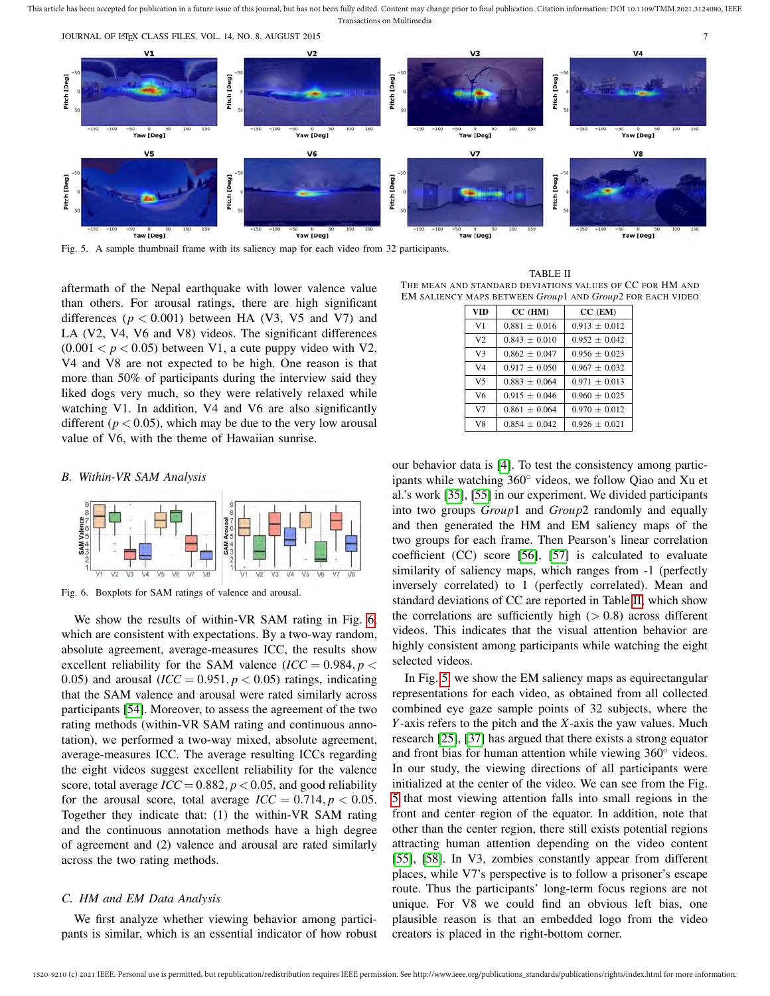

Fig. 5. A sample thumbnail frame with its saliency map for each video from 32 participants.

aftermath of the Nepal earthquake with lower valence value than others. For arousal ratings, there are high significant differences  $(p < 0.001)$  between HA (V3, V5 and V7) and LA (V2, V4, V6 and V8) videos. The significant differences  $(0.001 < p < 0.05)$  between V1, a cute puppy video with V2, V4 and V8 are not expected to be high. One reason is that more than 50% of participants during the interview said they liked dogs very much, so they were relatively relaxed while watching V1. In addition, V4 and V6 are also significantly different ( $p < 0.05$ ), which may be due to the very low arousal value of V6, with the theme of Hawaiian sunrise.

#### *B. Within-VR SAM Analysis*



Fig. 6. Boxplots for SAM ratings of valence and arousal.

We show the results of within-VR SAM rating in Fig. 6, which are consistent with expectations. By a two-way random, absolute agreement, average-measures ICC, the results show excellent reliability for the SAM valence  $(ICC = 0.984, p <$ 0.05) and arousal  $(ICC = 0.951, p < 0.05)$  ratings, indicating that the SAM valence and arousal were rated similarly across participants [54]. Moreover, to assess the agreement of the two rating methods (within-VR SAM rating and continuous annotation), we performed a two-way mixed, absolute agreement, average-measures ICC. The average resulting ICCs regarding the eight videos suggest excellent reliability for the valence score, total average  $\text{ICC} = 0.882$ ,  $p < 0.05$ , and good reliability for the arousal score, total average  $\text{ICC} = 0.714$ ,  $p < 0.05$ . Together they indicate that: (1) the within-VR SAM rating and the continuous annotation methods have a high degree of agreement and (2) valence and arousal are rated similarly across the two rating methods.

# *C. HM and EM Data Analysis*

We first analyze whether viewing behavior among participants is similar, which is an essential indicator of how robust

TABLE II THE MEAN AND STANDARD DEVIATIONS VALUES OF CC FOR HM AND EM SALIENCY MAPS BETWEEN *Group*1 AND *Group*2 FOR EACH VIDEO

| <b>VID</b>     | $CC$ (HM)         | CC (EM)           |
|----------------|-------------------|-------------------|
| V <sub>1</sub> | $0.881 + 0.016$   | $0.913 \pm 0.012$ |
| V <sub>2</sub> | $0.843 \pm 0.010$ | $0.952 \pm 0.042$ |
| V <sub>3</sub> | $0.862 \pm 0.047$ | $0.956 \pm 0.023$ |
| V <sub>4</sub> | $0.917 \pm 0.050$ | $0.967 \pm 0.032$ |
| V <sub>5</sub> | $0.883 + 0.064$   | $0.971 \pm 0.013$ |
| V <sub>6</sub> | $0.915 \pm 0.046$ | $0.960 \pm 0.025$ |
| V <sub>7</sub> | $0.861 \pm 0.064$ | $0.970 \pm 0.012$ |
| V8             | $0.854 + 0.042$   | $0.926 \pm 0.021$ |

our behavior data is [4]. To test the consistency among participants while watching 360◦ videos, we follow Qiao and Xu et al.'s work [35], [55] in our experiment. We divided participants into two groups *Group*1 and *Group*2 randomly and equally and then generated the HM and EM saliency maps of the two groups for each frame. Then Pearson's linear correlation coefficient (CC) score [56], [57] is calculated to evaluate similarity of saliency maps, which ranges from -1 (perfectly inversely correlated) to 1 (perfectly correlated). Mean and standard deviations of CC are reported in Table II, which show the correlations are sufficiently high  $(> 0.8)$  across different videos. This indicates that the visual attention behavior are highly consistent among participants while watching the eight selected videos.

In Fig. 5, we show the EM saliency maps as equirectangular representations for each video, as obtained from all collected combined eye gaze sample points of 32 subjects, where the *Y*-axis refers to the pitch and the *X*-axis the yaw values. Much research [25], [37] has argued that there exists a strong equator and front bias for human attention while viewing 360◦ videos. In our study, the viewing directions of all participants were initialized at the center of the video. We can see from the Fig. 5 that most viewing attention falls into small regions in the front and center region of the equator. In addition, note that other than the center region, there still exists potential regions attracting human attention depending on the video content [55], [58]. In V3, zombies constantly appear from different places, while V7's perspective is to follow a prisoner's escape route. Thus the participants' long-term focus regions are not unique. For V8 we could find an obvious left bias, one plausible reason is that an embedded logo from the video creators is placed in the right-bottom corner.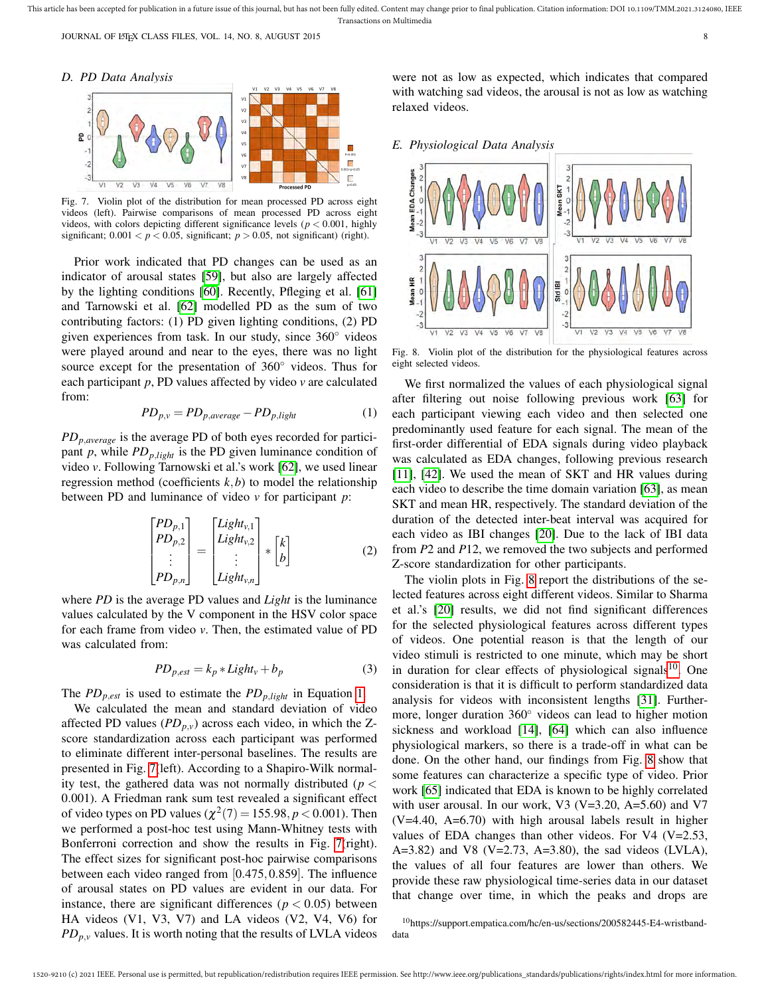*D. PD Data Analysis*



Fig. 7. Violin plot of the distribution for mean processed PD across eight videos (left). Pairwise comparisons of mean processed PD across eight videos, with colors depicting different significance levels ( $p < 0.001$ , highly significant;  $0.001 < p < 0.05$ , significant;  $p > 0.05$ , not significant) (right).

Prior work indicated that PD changes can be used as an indicator of arousal states [59], but also are largely affected by the lighting conditions [60]. Recently, Pfleging et al. [61] and Tarnowski et al. [62] modelled PD as the sum of two contributing factors: (1) PD given lighting conditions, (2) PD given experiences from task. In our study, since 360◦ videos were played around and near to the eyes, there was no light source except for the presentation of 360<sup>°</sup> videos. Thus for each participant *p*, PD values affected by video *v* are calculated from:

$$
PD_{p,v} = PD_{p,average} - PD_{p,light} \tag{1}
$$

*PDp*,*average* is the average PD of both eyes recorded for participant  $p$ , while  $PD_{p,light}$  is the PD given luminance condition of video *v*. Following Tarnowski et al.'s work [62], we used linear regression method (coefficients  $k$ , $b$ ) to model the relationship between PD and luminance of video *v* for participant *p*:

$$
\begin{bmatrix} PD_{p,1} \\ PD_{p,2} \\ \vdots \\ PD_{p,n} \end{bmatrix} = \begin{bmatrix} Light_{v,1} \\ Light_{v,2} \\ \vdots \\ Light_{v,n} \end{bmatrix} * \begin{bmatrix} k \\ b \end{bmatrix}
$$
 (2)

where *PD* is the average PD values and *Light* is the luminance values calculated by the V component in the HSV color space for each frame from video *v*. Then, the estimated value of PD was calculated from:

$$
PD_{p,est} = k_p * Light_v + b_p \tag{3}
$$

The  $PD_{p,est}$  is used to estimate the  $PD_{p,light}$  in Equation 1.

We calculated the mean and standard deviation of video affected PD values  $(PD_{p,v})$  across each video, in which the Zscore standardization across each participant was performed to eliminate different inter-personal baselines. The results are presented in Fig. 7(left). According to a Shapiro-Wilk normality test, the gathered data was not normally distributed (*p* < 0.001). A Friedman rank sum test revealed a significant effect of video types on PD values  $(\chi^2(7) = 155.98, p < 0.001)$ . Then we performed a post-hoc test using Mann-Whitney tests with Bonferroni correction and show the results in Fig. 7(right). The effect sizes for significant post-hoc pairwise comparisons between each video ranged from [0.475,0.859]. The influence of arousal states on PD values are evident in our data. For instance, there are significant differences ( $p < 0.05$ ) between HA videos (V1, V3, V7) and LA videos (V2, V4, V6) for  $PD_{p,v}$  values. It is worth noting that the results of LVLA videos

were not as low as expected, which indicates that compared with watching sad videos, the arousal is not as low as watching relaxed videos.

*E. Physiological Data Analysis*



Fig. 8. Violin plot of the distribution for the physiological features across eight selected videos.

We first normalized the values of each physiological signal after filtering out noise following previous work [63] for each participant viewing each video and then selected one predominantly used feature for each signal. The mean of the first-order differential of EDA signals during video playback was calculated as EDA changes, following previous research [11], [42]. We used the mean of SKT and HR values during each video to describe the time domain variation [63], as mean SKT and mean HR, respectively. The standard deviation of the duration of the detected inter-beat interval was acquired for each video as IBI changes [20]. Due to the lack of IBI data from *P*2 and *P*12, we removed the two subjects and performed Z-score standardization for other participants.

The violin plots in Fig. 8 report the distributions of the selected features across eight different videos. Similar to Sharma et al.'s [20] results, we did not find significant differences for the selected physiological features across different types of videos. One potential reason is that the length of our video stimuli is restricted to one minute, which may be short in duration for clear effects of physiological signals<sup>10</sup>. One consideration is that it is difficult to perform standardized data analysis for videos with inconsistent lengths [31]. Furthermore, longer duration 360◦ videos can lead to higher motion sickness and workload [14], [64] which can also influence physiological markers, so there is a trade-off in what can be done. On the other hand, our findings from Fig. 8 show that some features can characterize a specific type of video. Prior work [65] indicated that EDA is known to be highly correlated with user arousal. In our work, V3 (V=3.20, A=5.60) and V7 (V=4.40, A=6.70) with high arousal labels result in higher values of EDA changes than other videos. For V4 (V=2.53, A=3.82) and V8 (V=2.73, A=3.80), the sad videos (LVLA), the values of all four features are lower than others. We provide these raw physiological time-series data in our dataset that change over time, in which the peaks and drops are

<sup>10</sup>https://support.empatica.com/hc/en-us/sections/200582445-E4-wristbanddata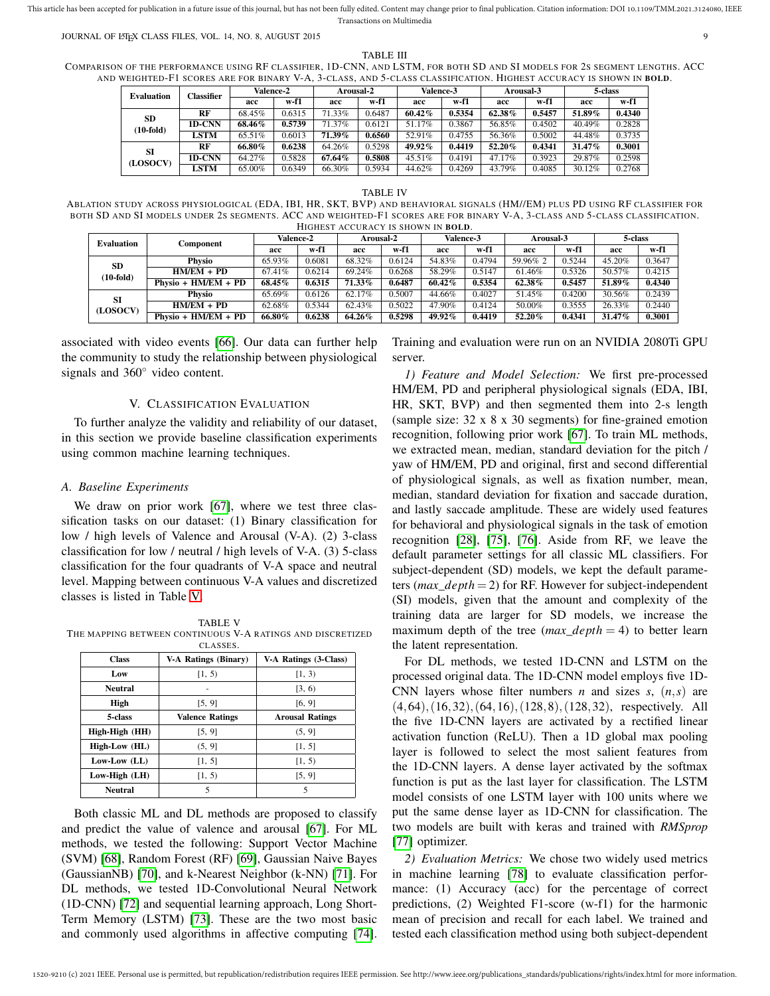JOURNAL OF LATEX CLASS FILES, VOL. 14, NO. 8, AUGUST 2015 99

TABLE III

COMPARISON OF THE PERFORMANCE USING RF CLASSIFIER, 1D-CNN, AND LSTM, FOR BOTH SD AND SI MODELS FOR 2S SEGMENT LENGTHS. ACC AND WEIGHTED-F1 SCORES ARE FOR BINARY V-A, 3-CLASS, AND 5-CLASS CLASSIFICATION. HIGHEST ACCURACY IS SHOWN IN BOLD.

| <b>Evaluation</b> | Classifier  | <b>Valence-2</b> |        | Arousal-2 |        | Valence-3 |        | Arousal-3 |        | 5-class |        |
|-------------------|-------------|------------------|--------|-----------|--------|-----------|--------|-----------|--------|---------|--------|
|                   |             | acc              | w-f1   | acc       | w-f1   | acc       | w-f1   | acc       | w-f1   | acc     | w-f1   |
| SD<br>$(10-fold)$ | RF          | 68.45%           | 0.6315 | 71.33%    | 0.6487 | 60.42%    | 0.5354 | 62.38%    | 0.5457 | 51.89%  | 0.4340 |
|                   | 1D-CNN      | 68.46%           | 0.5739 | 71.37%    | 0.6121 | 51.17%    | 0.3867 | 56.85%    | 0.4502 | 40.49%  | 0.2828 |
|                   | <b>LSTM</b> | 65.51%           | 0.6013 | 71.39%    | 0.6560 | 52.91%    | 0.4755 | 56.36%    | 0.5002 | 44.48%  | 0.3735 |
| SI<br>(LOSOCV)    | RF          | 66.80%           | 0.6238 | 64.26%    | 0.5298 | 49.92%    | 0.4419 | 52.20%    | 0.4341 | 31.47%  | 0.3001 |
|                   | 1D-CNN      | 64.27%           | 0.5828 | 67.64%    | 0.5808 | 45.51%    | 0.4191 | 47.17%    | 0.3923 | 29.87%  | 0.2598 |
|                   | LSTM        | 65.00%           | 0.6349 | 66.30%    | 0.5934 | 44.62%    | 0.4269 | 43.79%    | 0.4085 | 30.12%  | 0.2768 |

#### TABLE IV

ABLATION STUDY ACROSS PHYSIOLOGICAL (EDA, IBI, HR, SKT, BVP) AND BEHAVIORAL SIGNALS (HM//EM) PLUS PD USING RF CLASSIFIER FOR BOTH SD AND SI MODELS UNDER 2S SEGMENTS. ACC AND WEIGHTED-F1 SCORES ARE FOR BINARY V-A, 3-CLASS AND 5-CLASS CLASSIFICATION. HIGHEST ACCURACY IS SHOWN IN BOLD.

| <b>Evaluation</b>        | Component             | Valence-2 |        | Arousal-2 |        | Valence-3 |        | Arousal-3 |        | 5-class |        |
|--------------------------|-----------------------|-----------|--------|-----------|--------|-----------|--------|-----------|--------|---------|--------|
|                          |                       | acc       | w-f1   | acc       | w-f1   | acc       | w-f1   | acc       | w-f1   | acc     | w-f1   |
| <b>SD</b><br>$(10-fold)$ | Physio                | 65.93%    | 0.6081 | 68.32%    | 0.6124 | 54.83%    | 0.4794 | 59.96% 2  | 0.5244 | 45.20%  | 0.3647 |
|                          | $HM/EM + PD$          | 67.41%    | 0.6214 | 69.24%    | 0.6268 | 58.29%    | 0.5147 | 61.46%    | 0.5326 | 50.57%  | 0.4215 |
|                          | Physio + $HM/EM + PD$ | 68.45%    | 0.6315 | 71.33%    | 0.6487 | 60.42%    | 0.5354 | 62.38%    | 0.5457 | 51.89%  | 0.4340 |
| SI<br>(LOSOCV)           | Physio                | 65.69%    | 0.6126 | 62.17%    | 0.5007 | 44.66%    | 0.4027 | 51.45%    | 0.4200 | 30.56%  | 0.2439 |
|                          | $HM/EM + PD$          | 62.68%    | 0.5344 | 62.43%    | 0.5022 | 47.90%    | 0.4124 | 50.00%    | 0.3555 | 26.33%  | 0.2440 |
|                          | $Physio + HMLEM + PD$ | 66.80%    | 0.6238 | 64.26%    | 0.5298 | 49.92%    | 0.4419 | 52.20%    | 0.4341 | 31.47%  | 0.3001 |

associated with video events [66]. Our data can further help the community to study the relationship between physiological signals and 360<sup>°</sup> video content.

## V. CLASSIFICATION EVALUATION

To further analyze the validity and reliability of our dataset, in this section we provide baseline classification experiments using common machine learning techniques.

#### *A. Baseline Experiments*

We draw on prior work [67], where we test three classification tasks on our dataset: (1) Binary classification for low / high levels of Valence and Arousal (V-A). (2) 3-class classification for low / neutral / high levels of V-A. (3) 5-class classification for the four quadrants of V-A space and neutral level. Mapping between continuous V-A values and discretized classes is listed in Table V.

TABLE V THE MAPPING BETWEEN CONTINUOUS V-A RATINGS AND DISCRETIZED

|                    | CLASSES.                    |                        |  |  |  |  |
|--------------------|-----------------------------|------------------------|--|--|--|--|
| <b>Class</b>       | <b>V-A Ratings (Binary)</b> | V-A Ratings (3-Class)  |  |  |  |  |
| Low                | [1, 5)                      | [1, 3)                 |  |  |  |  |
| <b>Neutral</b>     |                             | [3, 6)                 |  |  |  |  |
| High               | [5, 9]                      | [6, 9]                 |  |  |  |  |
| 5-class            | <b>Valence Ratings</b>      | <b>Arousal Ratings</b> |  |  |  |  |
| High-High (HH)     | [5, 9]                      | (5, 9]                 |  |  |  |  |
| High-Low (HL)      | (5, 9]                      | [1, 5]                 |  |  |  |  |
| $Low-Low$ ( $LL$ ) | [1, 5]                      | [1, 5)                 |  |  |  |  |
| Low-High (LH)      | [1, 5)                      | [5, 9]                 |  |  |  |  |
| <b>Neutral</b>     | 5                           | 5                      |  |  |  |  |

Both classic ML and DL methods are proposed to classify and predict the value of valence and arousal [67]. For ML methods, we tested the following: Support Vector Machine (SVM) [68], Random Forest (RF) [69], Gaussian Naive Bayes (GaussianNB) [70], and k-Nearest Neighbor (k-NN) [71]. For DL methods, we tested 1D-Convolutional Neural Network (1D-CNN) [72] and sequential learning approach, Long Short-Term Memory (LSTM) [73]. These are the two most basic and commonly used algorithms in affective computing [74].

Training and evaluation were run on an NVIDIA 2080Ti GPU server.

*1) Feature and Model Selection:* We first pre-processed HM/EM, PD and peripheral physiological signals (EDA, IBI, HR, SKT, BVP) and then segmented them into 2-s length (sample size: 32 x 8 x 30 segments) for fine-grained emotion recognition, following prior work [67]. To train ML methods, we extracted mean, median, standard deviation for the pitch / yaw of HM/EM, PD and original, first and second differential of physiological signals, as well as fixation number, mean, median, standard deviation for fixation and saccade duration, and lastly saccade amplitude. These are widely used features for behavioral and physiological signals in the task of emotion recognition [28], [75], [76]. Aside from RF, we leave the default parameter settings for all classic ML classifiers. For subject-dependent (SD) models, we kept the default parameters (*max*\_*depth* = 2) for RF. However for subject-independent (SI) models, given that the amount and complexity of the training data are larger for SD models, we increase the maximum depth of the tree (*max*\_*depth* = 4) to better learn the latent representation.

For DL methods, we tested 1D-CNN and LSTM on the processed original data. The 1D-CNN model employs five 1D-CNN layers whose filter numbers *n* and sizes *s*,  $(n, s)$  are  $(4,64)$ ,  $(16,32)$ ,  $(64,16)$ ,  $(128,8)$ ,  $(128,32)$ , respectively. All the five 1D-CNN layers are activated by a rectified linear activation function (ReLU). Then a 1D global max pooling layer is followed to select the most salient features from the 1D-CNN layers. A dense layer activated by the softmax function is put as the last layer for classification. The LSTM model consists of one LSTM layer with 100 units where we put the same dense layer as 1D-CNN for classification. The two models are built with keras and trained with *RMSprop* [77] optimizer.

*2) Evaluation Metrics:* We chose two widely used metrics in machine learning [78] to evaluate classification performance: (1) Accuracy (acc) for the percentage of correct predictions, (2) Weighted F1-score (w-f1) for the harmonic mean of precision and recall for each label. We trained and tested each classification method using both subject-dependent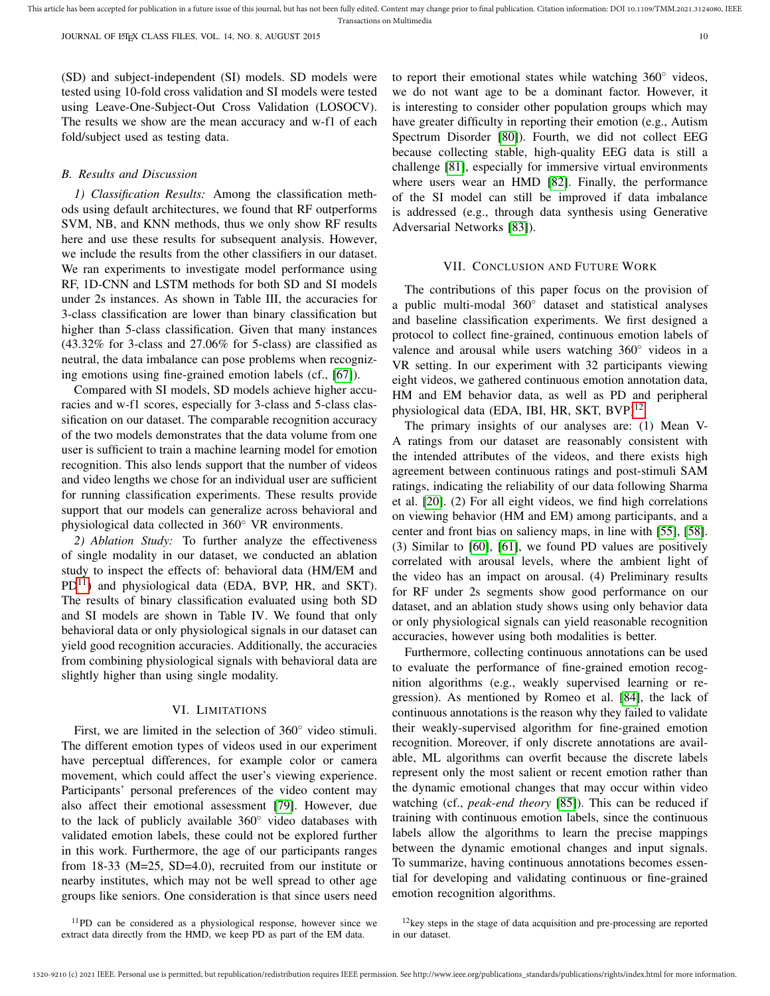(SD) and subject-independent (SI) models. SD models were tested using 10-fold cross validation and SI models were tested using Leave-One-Subject-Out Cross Validation (LOSOCV). The results we show are the mean accuracy and w-f1 of each fold/subject used as testing data.

#### *B. Results and Discussion*

*1) Classification Results:* Among the classification methods using default architectures, we found that RF outperforms SVM, NB, and KNN methods, thus we only show RF results here and use these results for subsequent analysis. However, we include the results from the other classifiers in our dataset. We ran experiments to investigate model performance using RF, 1D-CNN and LSTM methods for both SD and SI models under 2s instances. As shown in Table III, the accuracies for 3-class classification are lower than binary classification but higher than 5-class classification. Given that many instances (43.32% for 3-class and 27.06% for 5-class) are classified as neutral, the data imbalance can pose problems when recognizing emotions using fine-grained emotion labels (cf., [67]).

Compared with SI models, SD models achieve higher accuracies and w-f1 scores, especially for 3-class and 5-class classification on our dataset. The comparable recognition accuracy of the two models demonstrates that the data volume from one user is sufficient to train a machine learning model for emotion recognition. This also lends support that the number of videos and video lengths we chose for an individual user are sufficient for running classification experiments. These results provide support that our models can generalize across behavioral and physiological data collected in 360◦ VR environments.

*2) Ablation Study:* To further analyze the effectiveness of single modality in our dataset, we conducted an ablation study to inspect the effects of: behavioral data (HM/EM and  $PD<sup>11</sup>$ ) and physiological data (EDA, BVP, HR, and SKT). The results of binary classification evaluated using both SD and SI models are shown in Table IV. We found that only behavioral data or only physiological signals in our dataset can yield good recognition accuracies. Additionally, the accuracies from combining physiological signals with behavioral data are slightly higher than using single modality.

#### VI. LIMITATIONS

First, we are limited in the selection of 360◦ video stimuli. The different emotion types of videos used in our experiment have perceptual differences, for example color or camera movement, which could affect the user's viewing experience. Participants' personal preferences of the video content may also affect their emotional assessment [79]. However, due to the lack of publicly available 360◦ video databases with validated emotion labels, these could not be explored further in this work. Furthermore, the age of our participants ranges from 18-33 (M=25, SD=4.0), recruited from our institute or nearby institutes, which may not be well spread to other age groups like seniors. One consideration is that since users need

to report their emotional states while watching 360° videos, we do not want age to be a dominant factor. However, it is interesting to consider other population groups which may have greater difficulty in reporting their emotion (e.g., Autism Spectrum Disorder [80]). Fourth, we did not collect EEG because collecting stable, high-quality EEG data is still a challenge [81], especially for immersive virtual environments where users wear an HMD [82]. Finally, the performance of the SI model can still be improved if data imbalance is addressed (e.g., through data synthesis using Generative Adversarial Networks [83]).

## VII. CONCLUSION AND FUTURE WORK

The contributions of this paper focus on the provision of a public multi-modal 360◦ dataset and statistical analyses and baseline classification experiments. We first designed a protocol to collect fine-grained, continuous emotion labels of valence and arousal while users watching 360◦ videos in a VR setting. In our experiment with 32 participants viewing eight videos, we gathered continuous emotion annotation data, HM and EM behavior data, as well as PD and peripheral physiological data (EDA, IBI, HR, SKT, BVP)<sup>12</sup>.

The primary insights of our analyses are: (1) Mean V-A ratings from our dataset are reasonably consistent with the intended attributes of the videos, and there exists high agreement between continuous ratings and post-stimuli SAM ratings, indicating the reliability of our data following Sharma et al. [20]. (2) For all eight videos, we find high correlations on viewing behavior (HM and EM) among participants, and a center and front bias on saliency maps, in line with [55], [58]. (3) Similar to [60], [61], we found PD values are positively correlated with arousal levels, where the ambient light of the video has an impact on arousal. (4) Preliminary results for RF under 2s segments show good performance on our dataset, and an ablation study shows using only behavior data or only physiological signals can yield reasonable recognition accuracies, however using both modalities is better.

Furthermore, collecting continuous annotations can be used to evaluate the performance of fine-grained emotion recognition algorithms (e.g., weakly supervised learning or regression). As mentioned by Romeo et al. [84], the lack of continuous annotations is the reason why they failed to validate their weakly-supervised algorithm for fine-grained emotion recognition. Moreover, if only discrete annotations are available, ML algorithms can overfit because the discrete labels represent only the most salient or recent emotion rather than the dynamic emotional changes that may occur within video watching (cf., *peak-end theory* [85]). This can be reduced if training with continuous emotion labels, since the continuous labels allow the algorithms to learn the precise mappings between the dynamic emotional changes and input signals. To summarize, having continuous annotations becomes essential for developing and validating continuous or fine-grained emotion recognition algorithms.

 $12$ key steps in the stage of data acquisition and pre-processing are reported in our dataset.

<sup>&</sup>lt;sup>11</sup>PD can be considered as a physiological response, however since we extract data directly from the HMD, we keep PD as part of the EM data.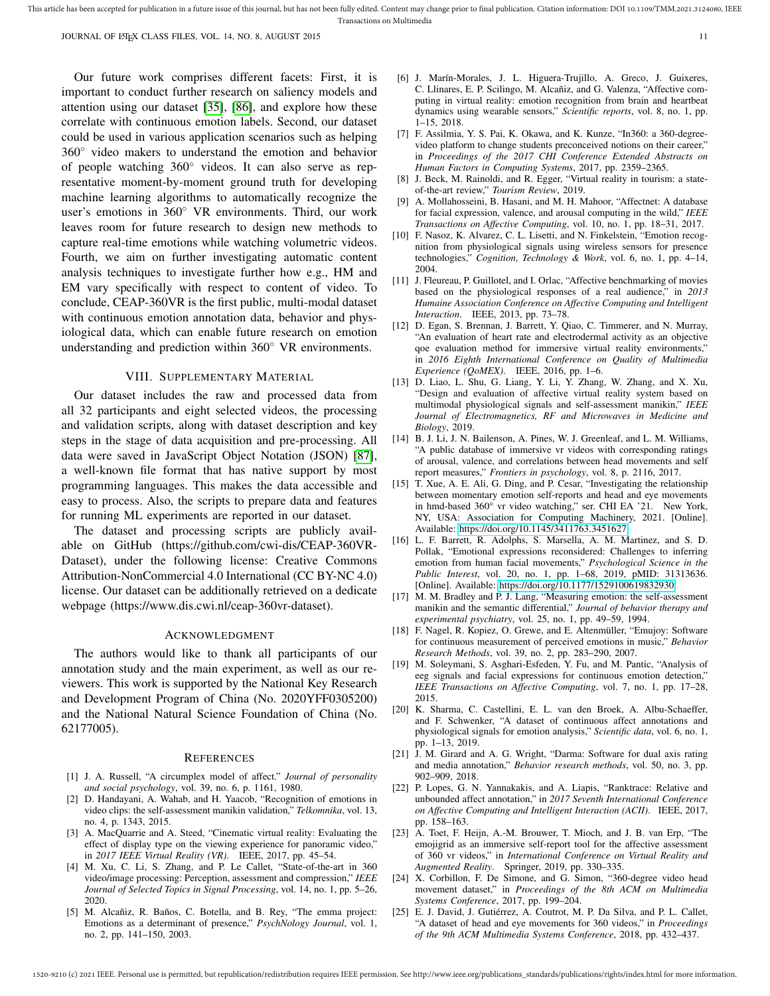Our future work comprises different facets: First, it is important to conduct further research on saliency models and attention using our dataset [35], [86], and explore how these correlate with continuous emotion labels. Second, our dataset could be used in various application scenarios such as helping 360◦ video makers to understand the emotion and behavior of people watching 360◦ videos. It can also serve as representative moment-by-moment ground truth for developing machine learning algorithms to automatically recognize the user's emotions in 360° VR environments. Third, our work leaves room for future research to design new methods to capture real-time emotions while watching volumetric videos. Fourth, we aim on further investigating automatic content analysis techniques to investigate further how e.g., HM and EM vary specifically with respect to content of video. To conclude, CEAP-360VR is the first public, multi-modal dataset with continuous emotion annotation data, behavior and physiological data, which can enable future research on emotion understanding and prediction within 360◦ VR environments.

## VIII. SUPPLEMENTARY MATERIAL

Our dataset includes the raw and processed data from all 32 participants and eight selected videos, the processing and validation scripts, along with dataset description and key steps in the stage of data acquisition and pre-processing. All data were saved in JavaScript Object Notation (JSON) [87], a well-known file format that has native support by most programming languages. This makes the data accessible and easy to process. Also, the scripts to prepare data and features for running ML experiments are reported in our dataset.

The dataset and processing scripts are publicly available on GitHub (https://github.com/cwi-dis/CEAP-360VR-Dataset), under the following license: Creative Commons Attribution-NonCommercial 4.0 International (CC BY-NC 4.0) license. Our dataset can be additionally retrieved on a dedicate webpage (https://www.dis.cwi.nl/ceap-360vr-dataset).

#### ACKNOWLEDGMENT

The authors would like to thank all participants of our annotation study and the main experiment, as well as our reviewers. This work is supported by the National Key Research and Development Program of China (No. 2020YFF0305200) and the National Natural Science Foundation of China (No. 62177005).

#### **REFERENCES**

- [1] J. A. Russell, "A circumplex model of affect." *Journal of personality and social psychology*, vol. 39, no. 6, p. 1161, 1980.
- [2] D. Handayani, A. Wahab, and H. Yaacob, "Recognition of emotions in video clips: the self-assessment manikin validation," *Telkomnika*, vol. 13, no. 4, p. 1343, 2015.
- [3] A. MacQuarrie and A. Steed, "Cinematic virtual reality: Evaluating the effect of display type on the viewing experience for panoramic video," in *2017 IEEE Virtual Reality (VR)*. IEEE, 2017, pp. 45–54.
- [4] M. Xu, C. Li, S. Zhang, and P. Le Callet, "State-of-the-art in 360 video/image processing: Perception, assessment and compression," *IEEE Journal of Selected Topics in Signal Processing*, vol. 14, no. 1, pp. 5–26, 2020.
- [5] M. Alcañiz, R. Baños, C. Botella, and B. Rey, "The emma project: Emotions as a determinant of presence," *PsychNology Journal*, vol. 1, no. 2, pp. 141–150, 2003.
- [6] J. Marín-Morales, J. L. Higuera-Trujillo, A. Greco, J. Guixeres, C. Llinares, E. P. Scilingo, M. Alcañiz, and G. Valenza, "Affective computing in virtual reality: emotion recognition from brain and heartbeat dynamics using wearable sensors," *Scientific reports*, vol. 8, no. 1, pp. 1–15, 2018.
- [7] F. Assilmia, Y. S. Pai, K. Okawa, and K. Kunze, "In360: a 360-degreevideo platform to change students preconceived notions on their career," in *Proceedings of the 2017 CHI Conference Extended Abstracts on Human Factors in Computing Systems*, 2017, pp. 2359–2365.
- [8] J. Beck, M. Rainoldi, and R. Egger, "Virtual reality in tourism: a stateof-the-art review," *Tourism Review*, 2019.
- [9] A. Mollahosseini, B. Hasani, and M. H. Mahoor, "Affectnet: A database for facial expression, valence, and arousal computing in the wild," *IEEE Transactions on Affective Computing*, vol. 10, no. 1, pp. 18–31, 2017.
- [10] F. Nasoz, K. Alvarez, C. L. Lisetti, and N. Finkelstein, "Emotion recognition from physiological signals using wireless sensors for presence technologies," *Cognition, Technology & Work*, vol. 6, no. 1, pp. 4–14, 2004.
- [11] J. Fleureau, P. Guillotel, and I. Orlac, "Affective benchmarking of movies based on the physiological responses of a real audience," in *2013 Humaine Association Conference on Affective Computing and Intelligent Interaction*. IEEE, 2013, pp. 73–78.
- [12] D. Egan, S. Brennan, J. Barrett, Y. Qiao, C. Timmerer, and N. Murray, "An evaluation of heart rate and electrodermal activity as an objective qoe evaluation method for immersive virtual reality environments," in *2016 Eighth International Conference on Quality of Multimedia Experience (QoMEX)*. IEEE, 2016, pp. 1–6.
- [13] D. Liao, L. Shu, G. Liang, Y. Li, Y. Zhang, W. Zhang, and X. Xu, "Design and evaluation of affective virtual reality system based on multimodal physiological signals and self-assessment manikin," *IEEE Journal of Electromagnetics, RF and Microwaves in Medicine and Biology*, 2019.
- [14] B. J. Li, J. N. Bailenson, A. Pines, W. J. Greenleaf, and L. M. Williams, "A public database of immersive vr videos with corresponding ratings of arousal, valence, and correlations between head movements and self report measures," *Frontiers in psychology*, vol. 8, p. 2116, 2017.
- [15] T. Xue, A. E. Ali, G. Ding, and P. Cesar, "Investigating the relationship between momentary emotion self-reports and head and eye movements in hmd-based 360° vr video watching," ser. CHI EA '21. New York, NY, USA: Association for Computing Machinery, 2021. [Online]. Available:<https://doi.org/10.1145/3411763.3451627>
- [16] L. F. Barrett, R. Adolphs, S. Marsella, A. M. Martinez, and S. D. Pollak, "Emotional expressions reconsidered: Challenges to inferring emotion from human facial movements," *Psychological Science in the Public Interest*, vol. 20, no. 1, pp. 1–68, 2019, pMID: 31313636. [Online]. Available:<https://doi.org/10.1177/1529100619832930>
- [17] M. M. Bradley and P. J. Lang, "Measuring emotion: the self-assessment manikin and the semantic differential," *Journal of behavior therapy and experimental psychiatry*, vol. 25, no. 1, pp. 49–59, 1994.
- [18] F. Nagel, R. Kopiez, O. Grewe, and E. Altenmüller, "Emujoy: Software for continuous measurement of perceived emotions in music," *Behavior Research Methods*, vol. 39, no. 2, pp. 283–290, 2007.
- [19] M. Soleymani, S. Asghari-Esfeden, Y. Fu, and M. Pantic, "Analysis of eeg signals and facial expressions for continuous emotion detection," *IEEE Transactions on Affective Computing*, vol. 7, no. 1, pp. 17–28, 2015.
- [20] K. Sharma, C. Castellini, E. L. van den Broek, A. Albu-Schaeffer, and F. Schwenker, "A dataset of continuous affect annotations and physiological signals for emotion analysis," *Scientific data*, vol. 6, no. 1, pp. 1–13, 2019.
- [21] J. M. Girard and A. G. Wright, "Darma: Software for dual axis rating and media annotation," *Behavior research methods*, vol. 50, no. 3, pp. 902–909, 2018.
- [22] P. Lopes, G. N. Yannakakis, and A. Liapis, "Ranktrace: Relative and unbounded affect annotation," in *2017 Seventh International Conference on Affective Computing and Intelligent Interaction (ACII)*. IEEE, 2017, pp. 158–163.
- [23] A. Toet, F. Heijn, A.-M. Brouwer, T. Mioch, and J. B. van Erp, "The emojigrid as an immersive self-report tool for the affective assessment of 360 vr videos," in *International Conference on Virtual Reality and Augmented Reality*. Springer, 2019, pp. 330–335.
- [24] X. Corbillon, F. De Simone, and G. Simon, "360-degree video head movement dataset," in *Proceedings of the 8th ACM on Multimedia Systems Conference*, 2017, pp. 199–204.
- [25] E. J. David, J. Gutiérrez, A. Coutrot, M. P. Da Silva, and P. L. Callet, "A dataset of head and eye movements for 360 videos," in *Proceedings of the 9th ACM Multimedia Systems Conference*, 2018, pp. 432–437.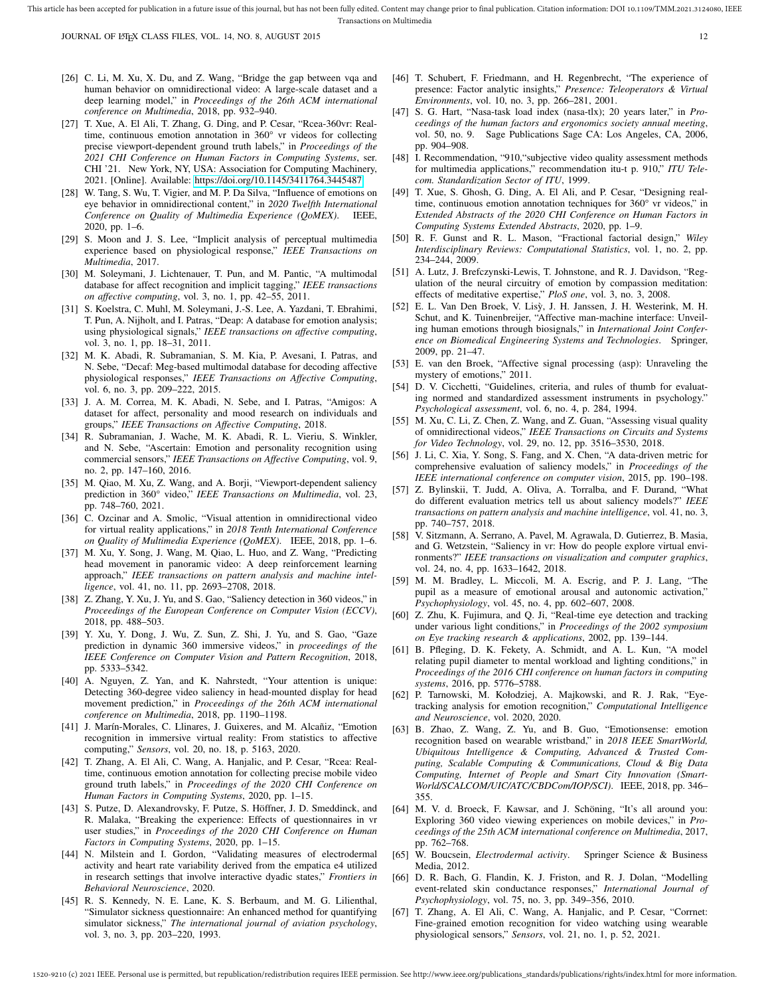- [26] C. Li, M. Xu, X. Du, and Z. Wang, "Bridge the gap between vqa and human behavior on omnidirectional video: A large-scale dataset and a deep learning model," in *Proceedings of the 26th ACM international conference on Multimedia*, 2018, pp. 932–940.
- [27] T. Xue, A. El Ali, T. Zhang, G. Ding, and P. Cesar, "Rcea-360vr: Realtime, continuous emotion annotation in 360° vr videos for collecting precise viewport-dependent ground truth labels," in *Proceedings of the 2021 CHI Conference on Human Factors in Computing Systems*, ser. CHI '21. New York, NY, USA: Association for Computing Machinery, 2021. [Online]. Available:<https://doi.org/10.1145/3411764.3445487>
- [28] W. Tang, S. Wu, T. Vigier, and M. P. Da Silva, "Influence of emotions on eye behavior in omnidirectional content," in *2020 Twelfth International Conference on Quality of Multimedia Experience (QoMEX)*. IEEE, 2020, pp. 1–6.
- [29] S. Moon and J. S. Lee, "Implicit analysis of perceptual multimedia experience based on physiological response," *IEEE Transactions on Multimedia*, 2017.
- [30] M. Soleymani, J. Lichtenauer, T. Pun, and M. Pantic, "A multimodal database for affect recognition and implicit tagging," *IEEE transactions on affective computing*, vol. 3, no. 1, pp. 42–55, 2011.
- [31] S. Koelstra, C. Muhl, M. Soleymani, J.-S. Lee, A. Yazdani, T. Ebrahimi, T. Pun, A. Nijholt, and I. Patras, "Deap: A database for emotion analysis; using physiological signals," *IEEE transactions on affective computing*, vol. 3, no. 1, pp. 18–31, 2011.
- [32] M. K. Abadi, R. Subramanian, S. M. Kia, P. Avesani, I. Patras, and N. Sebe, "Decaf: Meg-based multimodal database for decoding affective physiological responses," *IEEE Transactions on Affective Computing*, vol. 6, no. 3, pp. 209–222, 2015.
- [33] J. A. M. Correa, M. K. Abadi, N. Sebe, and I. Patras, "Amigos: A dataset for affect, personality and mood research on individuals and groups," *IEEE Transactions on Affective Computing*, 2018.
- [34] R. Subramanian, J. Wache, M. K. Abadi, R. L. Vieriu, S. Winkler, and N. Sebe, "Ascertain: Emotion and personality recognition using commercial sensors," *IEEE Transactions on Affective Computing*, vol. 9, no. 2, pp. 147–160, 2016.
- [35] M. Qiao, M. Xu, Z. Wang, and A. Borji, "Viewport-dependent saliency prediction in 360° video," *IEEE Transactions on Multimedia*, vol. 23, pp. 748–760, 2021.
- [36] C. Ozcinar and A. Smolic, "Visual attention in omnidirectional video for virtual reality applications," in *2018 Tenth International Conference on Quality of Multimedia Experience (QoMEX)*. IEEE, 2018, pp. 1–6.
- [37] M. Xu, Y. Song, J. Wang, M. Qiao, L. Huo, and Z. Wang, "Predicting head movement in panoramic video: A deep reinforcement learning approach," *IEEE transactions on pattern analysis and machine intelligence*, vol. 41, no. 11, pp. 2693–2708, 2018.
- [38] Z. Zhang, Y. Xu, J. Yu, and S. Gao, "Saliency detection in 360 videos," in *Proceedings of the European Conference on Computer Vision (ECCV)*, 2018, pp. 488–503.
- [39] Y. Xu, Y. Dong, J. Wu, Z. Sun, Z. Shi, J. Yu, and S. Gao, "Gaze prediction in dynamic 360 immersive videos," in *proceedings of the IEEE Conference on Computer Vision and Pattern Recognition*, 2018, pp. 5333–5342.
- [40] A. Nguyen, Z. Yan, and K. Nahrstedt, "Your attention is unique: Detecting 360-degree video saliency in head-mounted display for head movement prediction," in *Proceedings of the 26th ACM international conference on Multimedia*, 2018, pp. 1190–1198.
- [41] J. Marín-Morales, C. Llinares, J. Guixeres, and M. Alcañiz, "Emotion recognition in immersive virtual reality: From statistics to affective computing," *Sensors*, vol. 20, no. 18, p. 5163, 2020.
- [42] T. Zhang, A. El Ali, C. Wang, A. Hanjalic, and P. Cesar, "Rcea: Realtime, continuous emotion annotation for collecting precise mobile video ground truth labels," in *Proceedings of the 2020 CHI Conference on Human Factors in Computing Systems*, 2020, pp. 1–15.
- [43] S. Putze, D. Alexandrovsky, F. Putze, S. Höffner, J. D. Smeddinck, and R. Malaka, "Breaking the experience: Effects of questionnaires in vr user studies," in *Proceedings of the 2020 CHI Conference on Human Factors in Computing Systems*, 2020, pp. 1–15.
- [44] N. Milstein and I. Gordon, "Validating measures of electrodermal activity and heart rate variability derived from the empatica e4 utilized in research settings that involve interactive dyadic states," *Frontiers in Behavioral Neuroscience*, 2020.
- [45] R. S. Kennedy, N. E. Lane, K. S. Berbaum, and M. G. Lilienthal, "Simulator sickness questionnaire: An enhanced method for quantifying simulator sickness," *The international journal of aviation psychology*, vol. 3, no. 3, pp. 203–220, 1993.
- [46] T. Schubert, F. Friedmann, and H. Regenbrecht, "The experience of presence: Factor analytic insights," *Presence: Teleoperators & Virtual Environments*, vol. 10, no. 3, pp. 266–281, 2001.
- [47] S. G. Hart, "Nasa-task load index (nasa-tlx); 20 years later," in *Proceedings of the human factors and ergonomics society annual meeting*, vol. 50, no. 9. Sage Publications Sage CA: Los Angeles, CA, 2006, pp. 904–908.
- [48] I. Recommendation, "910, "subjective video quality assessment methods for multimedia applications," recommendation itu-t p. 910," *ITU Telecom. Standardization Sector of ITU*, 1999.
- [49] T. Xue, S. Ghosh, G. Ding, A. El Ali, and P. Cesar, "Designing realtime, continuous emotion annotation techniques for 360° vr videos," in *Extended Abstracts of the 2020 CHI Conference on Human Factors in Computing Systems Extended Abstracts*, 2020, pp. 1–9.
- [50] R. F. Gunst and R. L. Mason, "Fractional factorial design," *Wiley Interdisciplinary Reviews: Computational Statistics*, vol. 1, no. 2, pp. 234–244, 2009.
- [51] A. Lutz, J. Brefczynski-Lewis, T. Johnstone, and R. J. Davidson, "Regulation of the neural circuitry of emotion by compassion meditation: effects of meditative expertise," *PloS one*, vol. 3, no. 3, 2008.
- [52] E. L. Van Den Broek, V. Lisy, J. H. Janssen, J. H. Westerink, M. H. ` Schut, and K. Tuinenbreijer, "Affective man-machine interface: Unveiling human emotions through biosignals," in *International Joint Conference on Biomedical Engineering Systems and Technologies*. Springer, 2009, pp. 21–47.
- [53] E. van den Broek, "Affective signal processing (asp): Unraveling the mystery of emotions," 2011.
- [54] D. V. Cicchetti, "Guidelines, criteria, and rules of thumb for evaluating normed and standardized assessment instruments in psychology." *Psychological assessment*, vol. 6, no. 4, p. 284, 1994.
- [55] M. Xu, C. Li, Z. Chen, Z. Wang, and Z. Guan, "Assessing visual quality of omnidirectional videos," *IEEE Transactions on Circuits and Systems for Video Technology*, vol. 29, no. 12, pp. 3516–3530, 2018.
- [56] J. Li, C. Xia, Y. Song, S. Fang, and X. Chen, "A data-driven metric for comprehensive evaluation of saliency models," in *Proceedings of the IEEE international conference on computer vision*, 2015, pp. 190–198.
- Z. Bylinskii, T. Judd, A. Oliva, A. Torralba, and F. Durand, "What do different evaluation metrics tell us about saliency models?" *IEEE transactions on pattern analysis and machine intelligence*, vol. 41, no. 3, pp. 740–757, 2018.
- [58] V. Sitzmann, A. Serrano, A. Pavel, M. Agrawala, D. Gutierrez, B. Masia, and G. Wetzstein, "Saliency in vr: How do people explore virtual environments?" *IEEE transactions on visualization and computer graphics*, vol. 24, no. 4, pp. 1633–1642, 2018.
- [59] M. M. Bradley, L. Miccoli, M. A. Escrig, and P. J. Lang, "The pupil as a measure of emotional arousal and autonomic activation," *Psychophysiology*, vol. 45, no. 4, pp. 602–607, 2008.
- [60] Z. Zhu, K. Fujimura, and Q. Ji, "Real-time eye detection and tracking under various light conditions," in *Proceedings of the 2002 symposium on Eye tracking research & applications*, 2002, pp. 139–144.
- [61] B. Pfleging, D. K. Fekety, A. Schmidt, and A. L. Kun, "A model relating pupil diameter to mental workload and lighting conditions," in *Proceedings of the 2016 CHI conference on human factors in computing systems*, 2016, pp. 5776–5788.
- [62] P. Tarnowski, M. Kołodziej, A. Majkowski, and R. J. Rak, "Eyetracking analysis for emotion recognition," *Computational Intelligence and Neuroscience*, vol. 2020, 2020.
- [63] B. Zhao, Z. Wang, Z. Yu, and B. Guo, "Emotionsense: emotion recognition based on wearable wristband," in *2018 IEEE SmartWorld, Ubiquitous Intelligence & Computing, Advanced & Trusted Computing, Scalable Computing & Communications, Cloud & Big Data Computing, Internet of People and Smart City Innovation (Smart-World/SCALCOM/UIC/ATC/CBDCom/IOP/SCI)*. IEEE, 2018, pp. 346– 355.
- [64] M. V. d. Broeck, F. Kawsar, and J. Schöning, "It's all around you: Exploring 360 video viewing experiences on mobile devices," in *Proceedings of the 25th ACM international conference on Multimedia*, 2017, pp. 762–768.
- [65] W. Boucsein, *Electrodermal activity*. Springer Science & Business Media, 2012.
- [66] D. R. Bach, G. Flandin, K. J. Friston, and R. J. Dolan, "Modelling event-related skin conductance responses," *International Journal of Psychophysiology*, vol. 75, no. 3, pp. 349–356, 2010.
- [67] T. Zhang, A. El Ali, C. Wang, A. Hanjalic, and P. Cesar, "Corrnet: Fine-grained emotion recognition for video watching using wearable physiological sensors," *Sensors*, vol. 21, no. 1, p. 52, 2021.